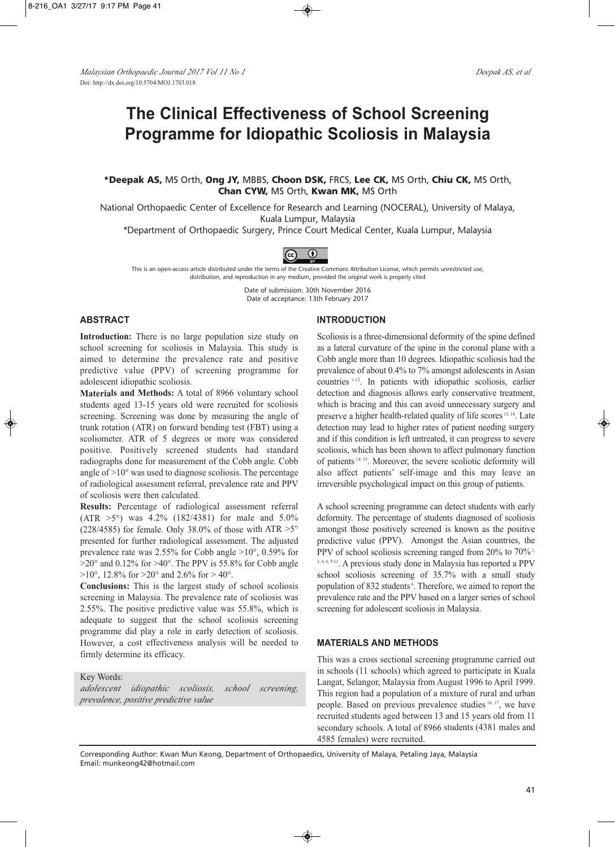# **The Clinical Effectiveness of School Screening Programme for Idiopathic Scoliosis in Malaysia**

## **\*Deepak AS,** MS Orth, **Ong JY,** MBBS, **Choon DSK,** FRCS, **Lee CK,** MS Orth, **Chiu CK,** MS Orth, **Chan CYW,** MS Orth, **Kwan MK,** MS Orth

National Orthopaedic Center of Excellence for Research and Learning (NOCERAL), University of Malaya, Kuala Lumpur, Malaysia

\*Department of Orthopaedic Surgery, Prince Court Medical Center, Kuala Lumpur, Malaysia



This is an open-access article distributed under the terms of the Creative Commons Attribution License, which permits unrestricted use, distribution, and reproduction in any medium, provided the original work is properly cited

> Date of submission: 30th November 2016 Date of acceptance: 13th February 2017

## **ABSTRACT**

**Introduction:** There is no large population size study on school screening for scoliosis in Malaysia. This study is aimed to determine the prevalence rate and positive predictive value (PPV) of screening programme for adolescent idiopathic scoliosis.

**Materials and Methods:** A total of 8966 voluntary school students aged 13-15 years old were recruited for scoliosis screening. Screening was done by measuring the angle of trunk rotation (ATR) on forward bending test (FBT) using a scoliometer. ATR of 5 degrees or more was considered positive. Positively screened students had standard radiographs done for measurement of the Cobb angle. Cobb angle of >10° was used to diagnose scoliosis. The percentage of radiological assessment referral, prevalence rate and PPV of scoliosis were then calculated.

**Results:** Percentage of radiological assessment referral (ATR >5°) was 4.2% (182/4381) for male and 5.0% (228/4585) for female. Only 38.0% of those with ATR  $>5^{\circ}$ presented for further radiological assessment. The adjusted prevalence rate was 2.55% for Cobb angle >10°, 0.59% for  $>20^{\circ}$  and 0.12% for  $>40^{\circ}$ . The PPV is 55.8% for Cobb angle  $>10^{\circ}$ , 12.8% for  $>20^{\circ}$  and 2.6% for  $>40^{\circ}$ .

**Conclusions:** This is the largest study of school scoliosis screening in Malaysia. The prevalence rate of scoliosis was 2.55%. The positive predictive value was 55.8%, which is adequate to suggest that the school scoliosis screening programme did play a role in early detection of scoliosis. However, a cost effectiveness analysis will be needed to firmly determine its efficacy.

### Key Words:

*adolescent idiopathic scoliosis, school screening, prevalence, positive predictive value*

#### **INTRODUCTION**

Scoliosis is a three-dimensional deformity of the spine defined as a lateral curvature of the spine in the coronal plane with a Cobb angle more than 10 degrees. Idiopathic scoliosis had the prevalence of about 0.4% to 7% amongst adolescents in Asian countries 1-12. In patients with idiopathic scoliosis, earlier detection and diagnosis allows early conservative treatment, which is bracing and this can avoid unnecessary surgery and preserve a higher health-related quality of life scores 13, 14. Late detection may lead to higher rates of patient needing surgery and if this condition is left untreated, it can progress to severe scoliosis, which has been shown to affect pulmonary function of patients 14, 15. Moreover, the severe scoliotic deformity will also affect patients' self-image and this may leave an irreversible psychological impact on this group of patients.

A school screening programme can detect students with early deformity. The percentage of students diagnosed of scoliosis amongst those positively screened is known as the positive predictive value (PPV). Amongst the Asian countries, the PPV of school scoliosis screening ranged from  $20\%$  to  $70\%$ <sup>1,</sup> 3, 4, 6, 9-11. A previous study done in Malaysia has reported a PPV school scoliosis screening of 35.7% with a small study population of 832 students<sup>6</sup>. Therefore, we aimed to report the prevalence rate and the PPV based on a larger series of school screening for adolescent scoliosis in Malaysia.

## **MATERIALS AND METHODS**

This was a cross sectional screening programme carried out in schools (11 schools) which agreed to participate in Kuala Langat, Selangor, Malaysia from August 1996 to April 1999. This region had a population of a mixture of rural and urban people. Based on previous prevalence studies 16, 17, we have recruited students aged between 13 and 15 years old from 11 secondary schools. A total of 8966 students (4381 males and 4585 females) were recruited.

Corresponding Author: Kwan Mun Keong, Department of Orthopaedics, University of Malaya, Petaling Jaya, Malaysia Email: munkeong42@hotmail.com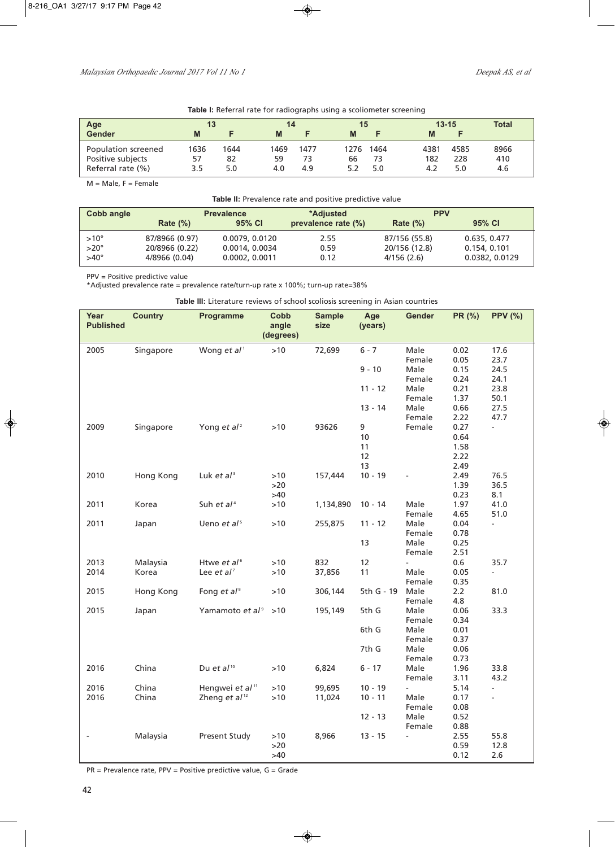| <b>Table I:</b> Referral rate for radiographs using a scoliometer screening |  |  |  |  |  |
|-----------------------------------------------------------------------------|--|--|--|--|--|
|-----------------------------------------------------------------------------|--|--|--|--|--|

|            |             | 14         | 15  |    |                  | $13 - 15$   | <b>Total</b>       |
|------------|-------------|------------|-----|----|------------------|-------------|--------------------|
|            | M           |            | M   |    | M                |             |                    |
| 1644<br>82 | 1469<br>59  | 1477<br>73 | 66  | 73 | 4381<br>182      | 4585<br>228 | 8966<br>410<br>4.6 |
|            | 1636<br>5.0 | 4.0        | 4.9 |    | 1276 1464<br>5.0 | 4.2         | 5.0                |

 $M = Male$ ,  $F = Female$ 

**Table II:** Prevalence rate and positive predictive value

| Cobb angle    | <b>Prevalence</b> |                | *Adiusted           | <b>PPV</b>    |                |  |
|---------------|-------------------|----------------|---------------------|---------------|----------------|--|
|               | Rate $(\%)$       | 95% CI         | prevalence rate (%) | Rate $(\%)$   | 95% CI         |  |
| $>10^{\circ}$ | 87/8966 (0.97)    | 0.0079, 0.0120 | 2.55                | 87/156 (55.8) | 0.635, 0.477   |  |
| $>20^\circ$   | 20/8966 (0.22)    | 0.0014, 0.0034 | 0.59                | 20/156 (12.8) | 0.154.0.101    |  |
| $>40^{\circ}$ | 4/8966 (0.04)     | 0.0002, 0.0011 | 0.12                | 4/156(2.6)    | 0.0382, 0.0129 |  |

PPV = Positive predictive value

\*Adjusted prevalence rate = prevalence rate/turn-up rate x 100%; turn-up rate=38%

**Table III:** Literature reviews of school scoliosis screening in Asian countries

| Year<br><b>Published</b> | <b>Country</b> | Programme                   | Cobb<br>angle<br>(degrees) | <b>Sample</b><br>size | Age<br>(years) | Gender | PR (%)       | <b>PPV (%)</b> |
|--------------------------|----------------|-----------------------------|----------------------------|-----------------------|----------------|--------|--------------|----------------|
| 2005                     | Singapore      | Wong et $al^1$              | $>10$                      | 72,699                | $6 - 7$        | Male   | 0.02         | 17.6           |
|                          |                |                             |                            |                       |                | Female | 0.05         | 23.7           |
|                          |                |                             |                            |                       | $9 - 10$       | Male   | 0.15         | 24.5           |
|                          |                |                             |                            |                       |                | Female | 0.24         | 24.1           |
|                          |                |                             |                            |                       | $11 - 12$      | Male   | 0.21         | 23.8           |
|                          |                |                             |                            |                       |                | Female | 1.37         | 50.1           |
|                          |                |                             |                            |                       | $13 - 14$      | Male   | 0.66         | 27.5           |
|                          |                |                             |                            |                       |                | Female | 2.22         | 47.7           |
| 2009                     | Singapore      | Yong et $al^2$              | $>10$                      | 93626                 | 9              | Female | 0.27         | $\overline{a}$ |
|                          |                |                             |                            |                       | 10             |        | 0.64         |                |
|                          |                |                             |                            |                       | 11             |        | 1.58         |                |
|                          |                |                             |                            |                       | 12             |        | 2.22         |                |
|                          |                |                             |                            |                       | 13             |        | 2.49         |                |
| 2010                     | Hong Kong      | Luk et $al^3$               | >10                        | 157,444               | $10 - 19$      |        | 2.49         | 76.5           |
|                          |                |                             | $>20$                      |                       |                |        | 1.39         | 36.5           |
|                          |                |                             | >40                        |                       |                |        | 0.23         | 8.1            |
| 2011                     | Korea          | Suh et $al4$                | $>10$                      | 1,134,890             | $10 - 14$      | Male   | 1.97         | 41.0           |
|                          |                |                             |                            |                       |                | Female | 4.65         | 51.0           |
| 2011                     | Japan          | Ueno et al <sup>5</sup>     | $>10$                      | 255,875               | $11 - 12$      | Male   | 0.04         | ä,             |
|                          |                |                             |                            |                       |                | Female | 0.78         |                |
|                          |                |                             |                            |                       | 13             | Male   | 0.25         |                |
|                          |                |                             |                            |                       |                | Female | 2.51         |                |
| 2013                     | Malaysia       | Htwe et al <sup>6</sup>     | >10                        | 832                   | 12             |        | 0.6          | 35.7           |
| 2014                     | Korea          | Lee $et al7$                | $>10$                      | 37,856                | 11             | Male   | 0.05         |                |
|                          |                |                             |                            |                       |                | Female | 0.35         |                |
| 2015                     | Hong Kong      | Fong et $al^8$              | >10                        | 306,144               | 5th G - 19     | Male   | 2.2          | 81.0           |
|                          |                |                             |                            |                       |                | Female | 4.8          |                |
| 2015                     | Japan          | Yamamoto et al <sup>9</sup> | >10                        | 195,149               | 5th G          | Male   | 0.06         | 33.3           |
|                          |                |                             |                            |                       |                | Female | 0.34         |                |
|                          |                |                             |                            |                       | 6th G          | Male   | 0.01         |                |
|                          |                |                             |                            |                       |                | Female | 0.37         |                |
|                          |                |                             |                            |                       | 7th G          | Male   | 0.06         |                |
|                          |                |                             |                            |                       |                | Female | 0.73         |                |
| 2016                     | China          | Du et $al^{10}$             | $>10$                      | 6,824                 | $6 - 17$       | Male   | 1.96         | 33.8           |
|                          |                |                             |                            |                       |                | Female | 3.11         | 43.2           |
| 2016                     | China          | Hengwei et al <sup>11</sup> | >10<br>$>10$               | 99,695                | $10 - 19$      |        | 5.14         | $\overline{a}$ |
| 2016                     | China          | Zheng et $al^{12}$          |                            | 11,024                | $10 - 11$      | Male   | 0.17         |                |
|                          |                |                             |                            |                       |                | Female | 0.08         |                |
|                          |                |                             |                            |                       | $12 - 13$      | Male   | 0.52         |                |
|                          |                |                             |                            |                       |                | Female | 0.88         |                |
|                          | Malaysia       | Present Study               | $>10$<br>>20               | 8,966                 | $13 - 15$      |        | 2.55<br>0.59 | 55.8<br>12.8   |
|                          |                |                             | $>40$                      |                       |                |        | 0.12         | 2.6            |
|                          |                |                             |                            |                       |                |        |              |                |

PR = Prevalence rate, PPV = Positive predictive value, G = Grade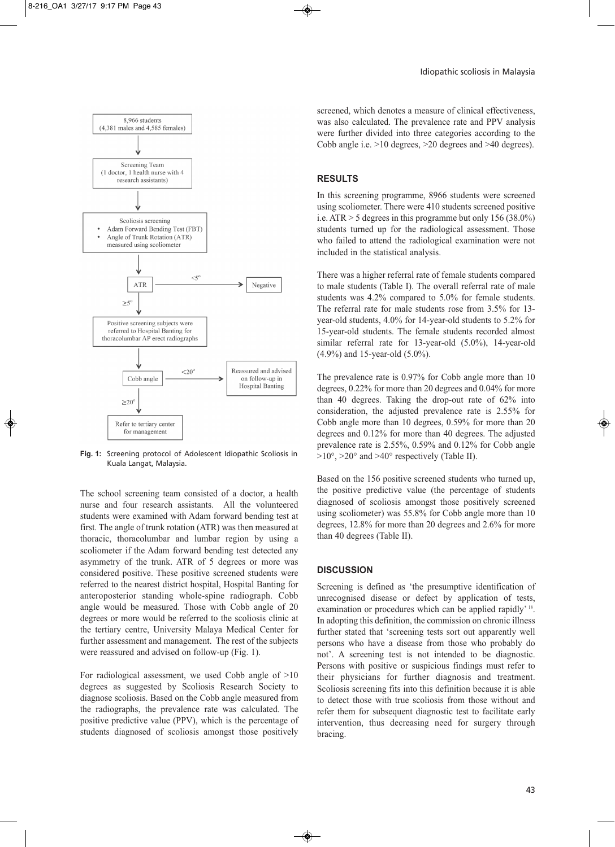

**Fig. 1:** Screening protocol of Adolescent Idiopathic Scoliosis in Kuala Langat, Malaysia.

The school screening team consisted of a doctor, a health nurse and four research assistants. All the volunteered students were examined with Adam forward bending test at first. The angle of trunk rotation (ATR) was then measured at thoracic, thoracolumbar and lumbar region by using a scoliometer if the Adam forward bending test detected any asymmetry of the trunk. ATR of 5 degrees or more was considered positive. These positive screened students were referred to the nearest district hospital, Hospital Banting for anteroposterior standing whole-spine radiograph. Cobb angle would be measured. Those with Cobb angle of 20 degrees or more would be referred to the scoliosis clinic at the tertiary centre, University Malaya Medical Center for further assessment and management. The rest of the subjects were reassured and advised on follow-up (Fig. 1).

For radiological assessment, we used Cobb angle of >10 degrees as suggested by Scoliosis Research Society to diagnose scoliosis. Based on the Cobb angle measured from the radiographs, the prevalence rate was calculated. The positive predictive value (PPV), which is the percentage of students diagnosed of scoliosis amongst those positively

screened, which denotes a measure of clinical effectiveness, was also calculated. The prevalence rate and PPV analysis were further divided into three categories according to the Cobb angle i.e. >10 degrees, >20 degrees and >40 degrees).

#### **RESULTS**

In this screening programme, 8966 students were screened using scoliometer. There were 410 students screened positive i.e. ATR > 5 degrees in this programme but only 156 (38.0%) students turned up for the radiological assessment. Those who failed to attend the radiological examination were not included in the statistical analysis.

There was a higher referral rate of female students compared to male students (Table I). The overall referral rate of male students was 4.2% compared to 5.0% for female students. The referral rate for male students rose from 3.5% for 13 year-old students, 4.0% for 14-year-old students to 5.2% for 15-year-old students. The female students recorded almost similar referral rate for 13-year-old (5.0%), 14-year-old (4.9%) and 15-year-old (5.0%).

The prevalence rate is 0.97% for Cobb angle more than 10 degrees, 0.22% for more than 20 degrees and 0.04% for more than 40 degrees. Taking the drop-out rate of 62% into consideration, the adjusted prevalence rate is 2.55% for Cobb angle more than 10 degrees, 0.59% for more than 20 degrees and 0.12% for more than 40 degrees. The adjusted prevalence rate is 2.55%, 0.59% and 0.12% for Cobb angle  $>10^{\circ}$ ,  $>20^{\circ}$  and  $>40^{\circ}$  respectively (Table II).

Based on the 156 positive screened students who turned up, the positive predictive value (the percentage of students diagnosed of scoliosis amongst those positively screened using scoliometer) was 55.8% for Cobb angle more than 10 degrees, 12.8% for more than 20 degrees and 2.6% for more than 40 degrees (Table II).

#### **DISCUSSION**

Screening is defined as 'the presumptive identification of unrecognised disease or defect by application of tests, examination or procedures which can be applied rapidly'<sup>18</sup>. In adopting this definition, the commission on chronic illness further stated that 'screening tests sort out apparently well persons who have a disease from those who probably do not'. A screening test is not intended to be diagnostic. Persons with positive or suspicious findings must refer to their physicians for further diagnosis and treatment. Scoliosis screening fits into this definition because it is able to detect those with true scoliosis from those without and refer them for subsequent diagnostic test to facilitate early intervention, thus decreasing need for surgery through bracing.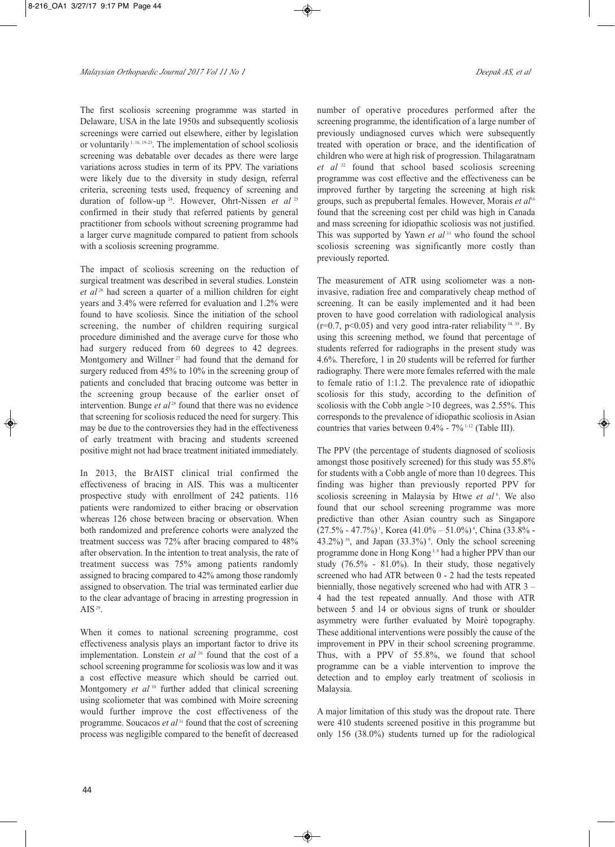The first scoliosis screening programme was started in Delaware, USA in the late 1950s and subsequently scoliosis screenings were carried out elsewhere, either by legislation or voluntarily  $1, 16, 19-23$ . The implementation of school scoliosis screening was debatable over decades as there were large variations across studies in term of its PPV. The variations were likely due to the diversity in study design, referral criteria, screening tests used, frequency of screening and duration of follow-up <sup>24</sup> . However, Ohrt-Nissen *et al* <sup>25</sup> confirmed in their study that referred patients by general practitioner from schools without screening programme had a larger curve magnitude compared to patient from schools with a scoliosis screening programme.

The impact of scoliosis screening on the reduction of surgical treatment was described in several studies. Lonstein *et al* <sup>26</sup> had screen a quarter of a million children for eight years and 3.4% were referred for evaluation and 1.2% were found to have scoliosis. Since the initiation of the school screening, the number of children requiring surgical procedure diminished and the average curve for those who had surgery reduced from 60 degrees to 42 degrees. Montgomery and Willner<sup>27</sup> had found that the demand for surgery reduced from 45% to 10% in the screening group of patients and concluded that bracing outcome was better in the screening group because of the earlier onset of intervention. Bunge *et al*<sup>28</sup> found that there was no evidence that screening for scoliosis reduced the need for surgery. This may be due to the controversies they had in the effectiveness of early treatment with bracing and students screened positive might not had brace treatment initiated immediately.

In 2013, the BrAIST clinical trial confirmed the effectiveness of bracing in AIS. This was a multicenter prospective study with enrollment of 242 patients. 116 patients were randomized to either bracing or observation whereas 126 chose between bracing or observation. When both randomized and preference cohorts were analyzed the treatment success was 72% after bracing compared to 48% after observation. In the intention to treat analysis, the rate of treatment success was 75% among patients randomly assigned to bracing compared to 42% among those randomly assigned to observation. The trial was terminated earlier due to the clear advantage of bracing in arresting progression in AIS  $^{29}$ .

When it comes to national screening programme, cost effectiveness analysis plays an important factor to drive its implementation. Lonstein *et al* <sup>26</sup> found that the cost of a school screening programme for scoliosis was low and it was a cost effective measure which should be carried out. Montgomery *et al* <sup>30</sup> further added that clinical screening using scoliometer that was combined with Moire screening would further improve the cost effectiveness of the programme. Soucacos *et al*<sup>31</sup> found that the cost of screening process was negligible compared to the benefit of decreased

number of operative procedures performed after the screening programme, the identification of a large number of previously undiagnosed curves which were subsequently treated with operation or brace, and the identification of children who were at high risk of progression. Thilagaratnam *et al* <sup>32</sup> found that school based scoliosis screening programme was cost effective and the effectiveness can be improved further by targeting the screening at high risk groups, such as prepubertal females. However, Morais *et al* 16 found that the screening cost per child was high in Canada and mass screening for idiopathic scoliosis was not justified. This was supported by Yawn *et al* <sup>33</sup> who found the school scoliosis screening was significantly more costly than previously reported.

The measurement of ATR using scoliometer was a noninvasive, radiation free and comparatively cheap method of screening. It can be easily implemented and it had been proven to have good correlation with radiological analysis  $(r=0.7, p<0.05)$  and very good intra-rater reliability  $34, 35$ . By using this screening method, we found that percentage of students referred for radiographs in the present study was 4.6%. Therefore, 1 in 20 students will be referred for further radiography. There were more females referred with the male to female ratio of 1:1.2. The prevalence rate of idiopathic scoliosis for this study, according to the definition of scoliosis with the Cobb angle >10 degrees, was 2.55%. This corresponds to the prevalence of idiopathic scoliosis in Asian countries that varies between  $0.4\%$  -  $7\%$ <sup>1-12</sup> (Table III).

The PPV (the percentage of students diagnosed of scoliosis amongst those positively screened) for this study was 55.8% for students with a Cobb angle of more than 10 degrees. This finding was higher than previously reported PPV for scoliosis screening in Malaysia by Htwe *et al*<sup>6</sup>. We also found that our school screening programme was more predictive than other Asian country such as Singapore  $(27.5\% - 47.7\%)$ <sup>1</sup>, Korea  $(41.0\% - 51.0\%)$ <sup>4</sup>, China  $(33.8\% 43.2\%$ )<sup>10</sup>, and Japan  $(33.3\%)$ <sup>9</sup>. Only the school screening programme done in Hong Kong<sup>3,8</sup> had a higher PPV than our study (76.5% - 81.0%). In their study, those negatively screened who had ATR between 0 - 2 had the tests repeated biennially, those negatively screened who had with ATR 3 – 4 had the test repeated annually. And those with ATR between 5 and 14 or obvious signs of trunk or shoulder asymmetry were further evaluated by Moirѐ topography. These additional interventions were possibly the cause of the improvement in PPV in their school screening programme. Thus, with a PPV of 55.8%, we found that school programme can be a viable intervention to improve the detection and to employ early treatment of scoliosis in Malaysia.

A major limitation of this study was the dropout rate. There were 410 students screened positive in this programme but only 156 (38.0%) students turned up for the radiological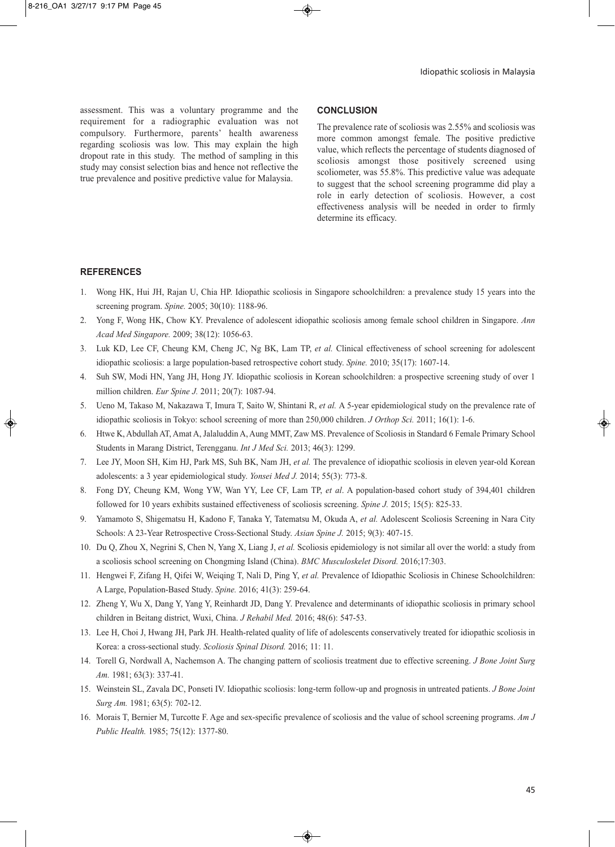assessment. This was a voluntary programme and the requirement for a radiographic evaluation was not compulsory. Furthermore, parents' health awareness regarding scoliosis was low. This may explain the high dropout rate in this study. The method of sampling in this study may consist selection bias and hence not reflective the true prevalence and positive predictive value for Malaysia.

#### **CONCLUSION**

The prevalence rate of scoliosis was 2.55% and scoliosis was more common amongst female. The positive predictive value, which reflects the percentage of students diagnosed of scoliosis amongst those positively screened using scoliometer, was 55.8%. This predictive value was adequate to suggest that the school screening programme did play a role in early detection of scoliosis. However, a cost effectiveness analysis will be needed in order to firmly determine its efficacy.

## **REFERENCES**

- 1. Wong HK, Hui JH, Rajan U, Chia HP. Idiopathic scoliosis in Singapore schoolchildren: a prevalence study 15 years into the screening program. *Spine.* 2005; 30(10): 1188-96.
- 2. Yong F, Wong HK, Chow KY. Prevalence of adolescent idiopathic scoliosis among female school children in Singapore. *Ann Acad Med Singapore.* 2009; 38(12): 1056-63.
- 3. Luk KD, Lee CF, Cheung KM, Cheng JC, Ng BK, Lam TP, *et al.* Clinical effectiveness of school screening for adolescent idiopathic scoliosis: a large population-based retrospective cohort study. *Spine.* 2010; 35(17): 1607-14.
- 4. Suh SW, Modi HN, Yang JH, Hong JY. Idiopathic scoliosis in Korean schoolchildren: a prospective screening study of over 1 million children. *Eur Spine J.* 2011; 20(7): 1087-94.
- 5. Ueno M, Takaso M, Nakazawa T, Imura T, Saito W, Shintani R, *et al.* A 5-year epidemiological study on the prevalence rate of idiopathic scoliosis in Tokyo: school screening of more than 250,000 children. *J Orthop Sci.* 2011; 16(1): 1-6.
- 6. Htwe K, Abdullah AT, Amat A, Jalaluddin A, Aung MMT, Zaw MS. Prevalence of Scoliosis in Standard 6 Female Primary School Students in Marang District, Terengganu. *Int J Med Sci.* 2013; 46(3): 1299.
- 7. Lee JY, Moon SH, Kim HJ, Park MS, Suh BK, Nam JH, *et al.* The prevalence of idiopathic scoliosis in eleven year-old Korean adolescents: a 3 year epidemiological study. *Yonsei Med J.* 2014; 55(3): 773-8.
- 8. Fong DY, Cheung KM, Wong YW, Wan YY, Lee CF, Lam TP, *et al*. A population-based cohort study of 394,401 children followed for 10 years exhibits sustained effectiveness of scoliosis screening. *Spine J.* 2015; 15(5): 825-33.
- 9. Yamamoto S, Shigematsu H, Kadono F, Tanaka Y, Tatematsu M, Okuda A, *et al.* Adolescent Scoliosis Screening in Nara City Schools: A 23-Year Retrospective Cross-Sectional Study. *Asian Spine J.* 2015; 9(3): 407-15.
- 10. Du Q, Zhou X, Negrini S, Chen N, Yang X, Liang J, *et al.* Scoliosis epidemiology is not similar all over the world: a study from a scoliosis school screening on Chongming Island (China). *BMC Musculoskelet Disord.* 2016;17:303.
- 11. Hengwei F, Zifang H, Qifei W, Weiqing T, Nali D, Ping Y, *et al.* Prevalence of Idiopathic Scoliosis in Chinese Schoolchildren: A Large, Population-Based Study. *Spine.* 2016; 41(3): 259-64.
- 12. Zheng Y, Wu X, Dang Y, Yang Y, Reinhardt JD, Dang Y. Prevalence and determinants of idiopathic scoliosis in primary school children in Beitang district, Wuxi, China. *J Rehabil Med.* 2016; 48(6): 547-53.
- 13. Lee H, Choi J, Hwang JH, Park JH. Health-related quality of life of adolescents conservatively treated for idiopathic scoliosis in Korea: a cross-sectional study. *Scoliosis Spinal Disord.* 2016; 11: 11.
- 14. Torell G, Nordwall A, Nachemson A. The changing pattern of scoliosis treatment due to effective screening. *J Bone Joint Surg Am.* 1981; 63(3): 337-41.
- 15. Weinstein SL, Zavala DC, Ponseti IV. Idiopathic scoliosis: long-term follow-up and prognosis in untreated patients. *J Bone Joint Surg Am.* 1981; 63(5): 702-12.
- 16. Morais T, Bernier M, Turcotte F. Age and sex-specific prevalence of scoliosis and the value of school screening programs. *Am J Public Health.* 1985; 75(12): 1377-80.